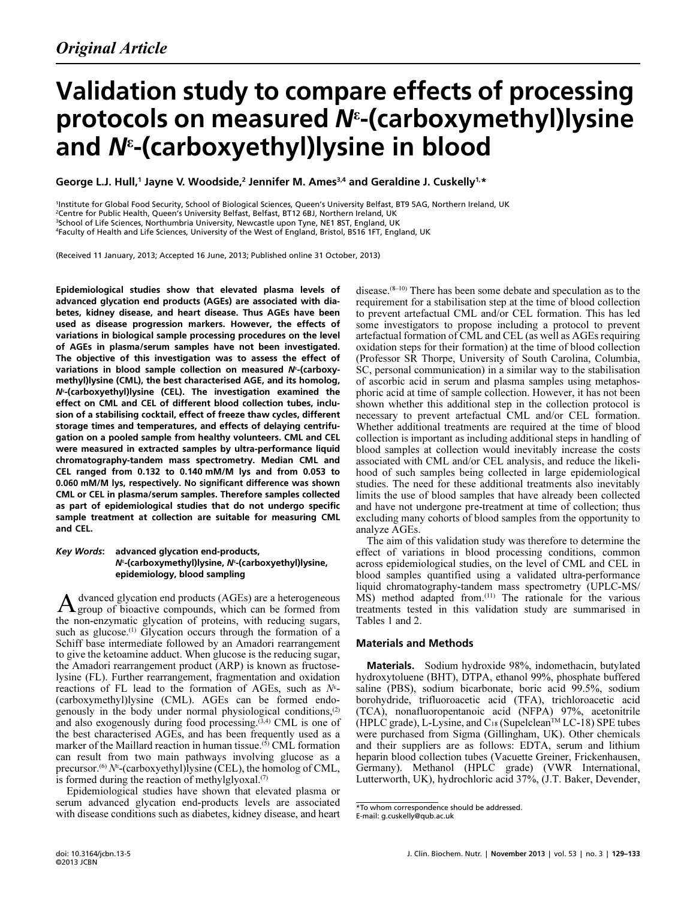# Validation study to compare effects of processing protocols on measured N<sup>ε</sup> -(carboxymethyl)lysine .<br>and N<sup>ε</sup>-(carboxvethyl)lysine in blood

George L.J. Hull,<sup>1</sup> Jayne V. Woodside,<sup>2</sup> Jennifer M. Ames<sup>3,4</sup> and Geraldine J. Cuskelly<sup>1,\*</sup>

 <sup>2</sup>Centre for Public Health, Queen's University Belfast, Belfast, BT12 6BJ, Northern Ireland, UK <sup>1</sup>Institute for Global Food Security, School of Biological Sciences, Queen's University Belfast, BT9 5AG, Northern Ireland, UK <sup>3</sup>School of Life Sciences, Northumbria University, Newcastle upon Tyne, NE1 8ST, England, UK <sup>4</sup>Faculty of Health and Life Sciences, University of the West of England, Bristol, BS16 1FT, England, UK

?? (Received 11 January, 2013; Accepted 16 June, 2013; Published online 31 October, 2013)

Epidemiological studies show that elevated plasma levels of CML or CEL in plasma/serum samples. Therefore samples collected advanced glycation end products (AGEs) are associated with diabetes, kidney disease, and heart disease. Thus AGEs have been used as disease progression markers. However, the effects of variations in biological sample processing procedures on the level of AGEs in plasma/serum samples have not been investigated. The objective of this investigation was to assess the effect of variations in blood sample collection on measured  $N^{\epsilon}$ -(carboxymethyl)lysine (CML), the best characterised AGE, and its homolog, Nε -(carboxyethyl)lysine (CEL). The investigation examined the effect on CML and CEL of different blood collection tubes, inclusion of a stabilising cocktail, effect of freeze thaw cycles, different storage times and temperatures, and effects of delaying centrifugation on a pooled sample from healthy volunteers. CML and CEL were measured in extracted samples by ultra-performance liquid chromatography-tandem mass spectrometry. Median CML and CEL ranged from 0.132 to 0.140 mM/M lys and from 0.053 to 0.060 mM/M lys, respectively. No significant difference was shown as part of epidemiological studies that do not undergo specific sample treatment at collection are suitable for measuring CML and CEL.

# Key Words: advanced glycation end-products, N<sup>ε</sup>-(carboxymethyl)lysine, N<sup>ε</sup>-(carboxyethyl)lysine, epidemiology, blood sampling

dvanced glycation end products (AGEs) are a heterogeneous  $A$  group of bioactive compounds, which can be formed from the non-enzymatic glycation of proteins, with reducing sugars, such as glucose.<sup>(1)</sup> Glycation occurs through the formation of a Schiff base intermediate followed by an Amadori rearrangement to give the ketoamine adduct. When glucose is the reducing sugar, the Amadori rearrangement product (ARP) is known as fructoselysine (FL). Further rearrangement, fragmentation and oxidation reactions of FL lead to the formation of AGEs, such as  $N^{\varepsilon}$ -(carboxymethyl)lysine (CML). AGEs can be formed endogenously in the body under normal physiological conditions,(2) and also exogenously during food processing.<sup>(3,4)</sup> CML is one of the best characterised AGEs, and has been frequently used as a marker of the Maillard reaction in human tissue. $(5)$  CML formation can result from two main pathways involving glucose as a precursor.<sup>(6)</sup>  $N^{\epsilon}$ -(carboxyethyl)lysine (CEL), the homolog of CML, is formed during the reaction of methylglyoxal. $(7)$ 

Epidemiological studies have shown that elevated plasma or serum advanced glycation end-products levels are associated with disease conditions such as diabetes, kidney disease, and heart disease.(8–10) There has been some debate and speculation as to the requirement for a stabilisation step at the time of blood collection to prevent artefactual CML and/or CEL formation. This has led some investigators to propose including a protocol to prevent artefactual formation of CML and CEL (as well as AGEs requiring oxidation steps for their formation) at the time of blood collection (Professor SR Thorpe, University of South Carolina, Columbia, SC, personal communication) in a similar way to the stabilisation of ascorbic acid in serum and plasma samples using metaphosphoric acid at time of sample collection. However, it has not been shown whether this additional step in the collection protocol is necessary to prevent artefactual CML and/or CEL formation. Whether additional treatments are required at the time of blood collection is important as including additional steps in handling of blood samples at collection would inevitably increase the costs associated with CML and/or CEL analysis, and reduce the likelihood of such samples being collected in large epidemiological studies. The need for these additional treatments also inevitably limits the use of blood samples that have already been collected and have not undergone pre-treatment at time of collection; thus excluding many cohorts of blood samples from the opportunity to analyze AGEs.

The aim of this validation study was therefore to determine the effect of variations in blood processing conditions, common across epidemiological studies, on the level of CML and CEL in blood samples quantified using a validated ultra-performance liquid chromatography-tandem mass spectrometry (UPLC-MS/ MS) method adapted from.(11) The rationale for the various treatments tested in this validation study are summarised in Tables 1 and 2.

# Materials and Methods

Materials. Sodium hydroxide 98%, indomethacin, butylated hydroxytoluene (BHT), DTPA, ethanol 99%, phosphate buffered saline (PBS), sodium bicarbonate, boric acid 99.5%, sodium borohydride, trifluoroacetic acid (TFA), trichloroacetic acid (TCA), nonafluoropentanoic acid (NFPA) 97%, acetonitrile  $(HPLC)$  grade), L-Lysine, and C<sub>18</sub> (Supelclean<sup>TM</sup> LC-18) SPE tubes were purchased from Sigma (Gillingham, UK). Other chemicals and their suppliers are as follows: EDTA, serum and lithium heparin blood collection tubes (Vacuette Greiner, Frickenhausen, Germany). Methanol (HPLC grade) (VWR International, Lutterworth, UK), hydrochloric acid 37%, (J.T. Baker, Devender,

<sup>\*</sup>To whom correspondence should be addressed.

E-mail: g.cuskelly@qub.ac.uk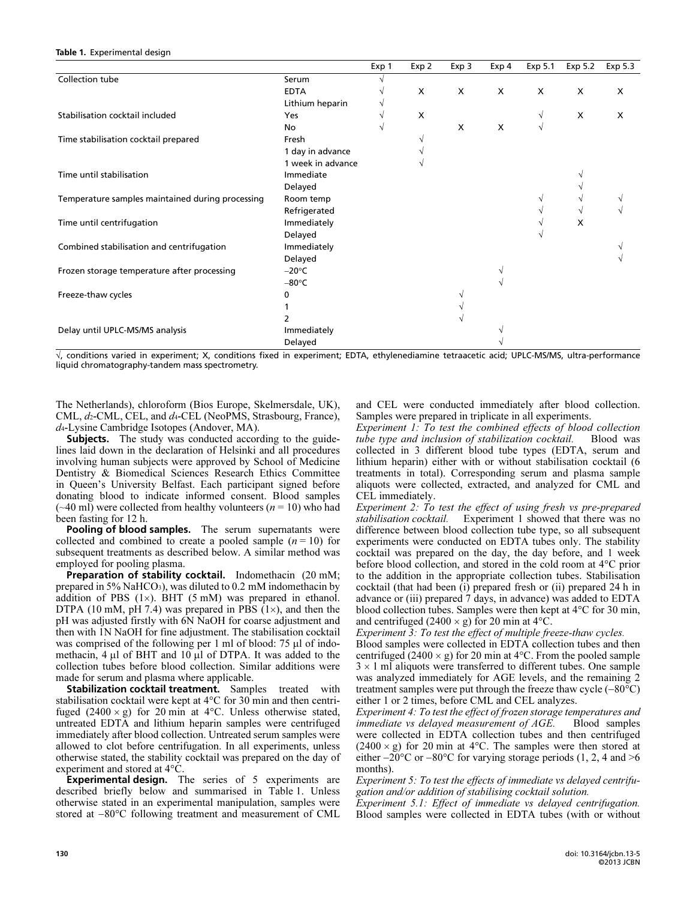#### Table 1. Experimental design

|                                                  |                   | Exp 1 | Exp 2 | Exp 3        | Exp 4 | Exp 5.1    | Exp 5.2 | Exp 5.3 |
|--------------------------------------------------|-------------------|-------|-------|--------------|-------|------------|---------|---------|
| Collection tube                                  | Serum             |       |       |              |       |            |         |         |
|                                                  | <b>EDTA</b>       |       | X     | $\mathsf{x}$ | X     | X          | X       | X       |
|                                                  | Lithium heparin   |       |       |              |       |            |         |         |
| Stabilisation cocktail included                  | <b>Yes</b>        |       | X     |              |       | V          | X       | X       |
|                                                  | No                |       |       | X            | X     | $\sqrt{ }$ |         |         |
| Time stabilisation cocktail prepared             | Fresh             |       |       |              |       |            |         |         |
|                                                  | 1 day in advance  |       |       |              |       |            |         |         |
|                                                  | 1 week in advance |       |       |              |       |            |         |         |
| Time until stabilisation                         | Immediate         |       |       |              |       |            |         |         |
|                                                  | Delayed           |       |       |              |       |            |         |         |
| Temperature samples maintained during processing | Room temp         |       |       |              |       |            |         |         |
|                                                  | Refrigerated      |       |       |              |       |            |         |         |
| Time until centrifugation                        | Immediately       |       |       |              |       |            | x       |         |
|                                                  | Delayed           |       |       |              |       |            |         |         |
| Combined stabilisation and centrifugation        | Immediately       |       |       |              |       |            |         |         |
|                                                  | Delayed           |       |       |              |       |            |         |         |
| Frozen storage temperature after processing      | $-20^{\circ}$ C   |       |       |              |       |            |         |         |
|                                                  | $-80^{\circ}$ C   |       |       |              |       |            |         |         |
| Freeze-thaw cycles                               | 0                 |       |       |              |       |            |         |         |
|                                                  |                   |       |       |              |       |            |         |         |
|                                                  |                   |       |       |              |       |            |         |         |
| Delay until UPLC-MS/MS analysis                  | Immediately       |       |       |              |       |            |         |         |
|                                                  | Delayed           |       |       |              |       |            |         |         |

√, conditions varied in experiment; X, conditions fixed in experiment; EDTA, ethylenediamine tetraacetic acid; UPLC-MS/MS, ultra-performance liquid chromatography-tandem mass spectrometry.

The Netherlands), chloroform (Bios Europe, Skelmersdale, UK), CML,  $d_2$ -CML, CEL, and  $d_4$ -CEL (NeoPMS, Strasbourg, France), d4-Lysine Cambridge Isotopes (Andover, MA).

Subjects. The study was conducted according to the guidelines laid down in the declaration of Helsinki and all procedures involving human subjects were approved by School of Medicine Dentistry & Biomedical Sciences Research Ethics Committee in Queen's University Belfast. Each participant signed before donating blood to indicate informed consent. Blood samples  $(\sim 40 \text{ ml})$  were collected from healthy volunteers ( $n = 10$ ) who had been fasting for 12 h.

Pooling of blood samples. The serum supernatants were collected and combined to create a pooled sample  $(n = 10)$  for subsequent treatments as described below. A similar method was employed for pooling plasma.

 made for serum and plasma where applicable. Preparation of stability cocktail. Indomethacin (20 mM; prepared in 5% NaHCO3), was diluted to 0.2 mM indomethacin by addition of PBS (1×). BHT (5 mM) was prepared in ethanol. DTPA (10 mM, pH 7.4) was prepared in PBS  $(1\times)$ , and then the pH was adjusted firstly with 6N NaOH for coarse adjustment and then with 1N NaOH for fine adjustment. The stabilisation cocktail was comprised of the following per 1 ml of blood:  $75 \mu l$  of indomethacin, 4 µl of BHT and 10 µl of DTPA. It was added to the collection tubes before blood collection. Similar additions were

 otherwise stated, the stability cocktail was prepared on the day of Stabilization cocktail treatment. Samples treated with stabilisation cocktail were kept at  $4^{\circ}$ C for  $30 \text{ min}$  and then centrifuged  $(2400 \times g)$  for 20 min at 4°C. Unless otherwise stated, untreated EDTA and lithium heparin samples were centrifuged immediately after blood collection. Untreated serum samples were allowed to clot before centrifugation. In all experiments, unless experiment and stored at 4°C.

**Experimental design.** The series of 5 experiments are described briefly below and summarised in Table 1. Unless otherwise stated in an experimental manipulation, samples were stored at −80°C following treatment and measurement of CML and CEL were conducted immediately after blood collection. Samples were prepared in triplicate in all experiments.

Experiment 1: To test the combined effects of blood collection tube type and inclusion of stabilization cocktail. Blood was collected in 3 different blood tube types (EDTA, serum and lithium heparin) either with or without stabilisation cocktail (6 treatments in total). Corresponding serum and plasma sample aliquots were collected, extracted, and analyzed for CML and CEL immediately.

Experiment 2: To test the effect of using fresh vs pre-prepared stabilisation cocktail. Experiment 1 showed that there was no difference between blood collection tube type, so all subsequent experiments were conducted on EDTA tubes only. The stability cocktail was prepared on the day, the day before, and 1 week before blood collection, and stored in the cold room at 4°C prior to the addition in the appropriate collection tubes. Stabilisation cocktail (that had been (i) prepared fresh or (ii) prepared 24 h in advance or (iii) prepared 7 days, in advance) was added to EDTA blood collection tubes. Samples were then kept at 4°C for 30 min, and centrifuged (2400  $\times$  g) for 20 min at 4 $\degree$ C.

Experiment 3: To test the effect of multiple freeze-thaw cycles. Blood samples were collected in EDTA collection tubes and then centrifuged (2400  $\times$  g) for 20 min at 4<sup>o</sup>C. From the pooled sample  $3 \times 1$  ml aliquots were transferred to different tubes. One sample was analyzed immediately for AGE levels, and the remaining 2 treatment samples were put through the freeze thaw cycle (−80°C) either 1 or 2 times, before CML and CEL analyzes.

 $(2400 \times g)$  for 20 min at 4°C. The samples were then stored at Experiment 4: To test the effect of frozen storage temperatures and immediate vs delayed measurement of AGE. Blood samples were collected in EDTA collection tubes and then centrifuged either  $-20^{\circ}$ C or  $-80^{\circ}$ C for varying storage periods (1, 2, 4 and >6 months).

Experiment 5: To test the effects of immediate vs delayed centrifugation and/or addition of stabilising cocktail solution.

Experiment 5.1: Effect of immediate vs delayed centrifugation. Blood samples were collected in EDTA tubes (with or without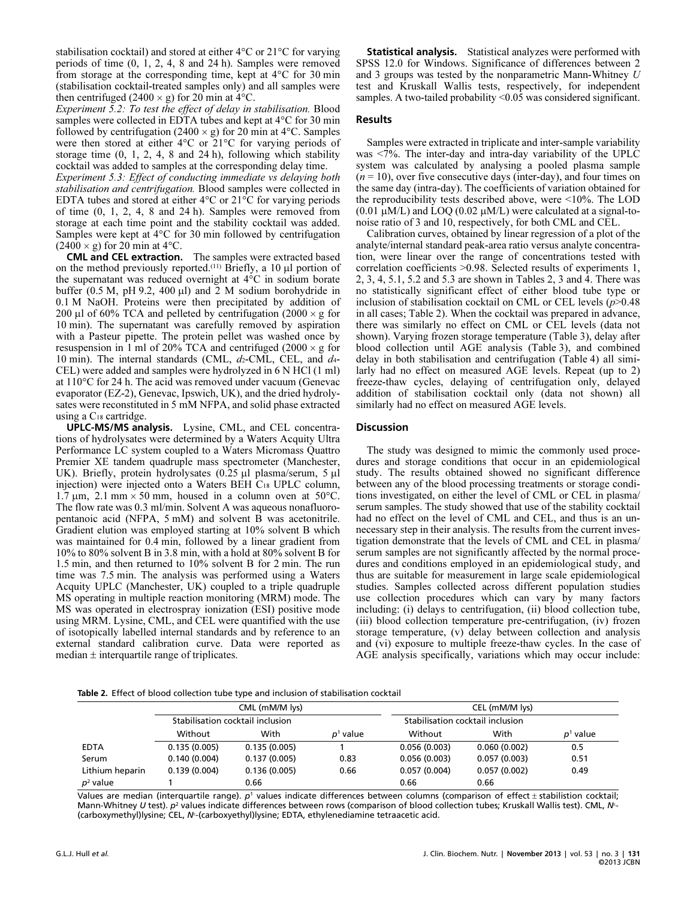stabilisation cocktail) and stored at either 4°C or 21°C for varying periods of time (0, 1, 2, 4, 8 and 24 h). Samples were removed from storage at the corresponding time, kept at 4°C for 30 min (stabilisation cocktail-treated samples only) and all samples were then centrifuged (2400  $\times$  g) for 20 min at 4 $\rm{°C}$ .

Experiment 5.2: To test the effect of delay in stabilisation. Blood samples were collected in EDTA tubes and kept at 4°C for 30 min followed by centrifugation (2400  $\times$  g) for 20 min at 4 °C. Samples were then stored at either 4°C or 21°C for varying periods of storage time  $(0, 1, 2, 4, 8, 4)$  and  $(24 h)$ , following which stability cocktail was added to samples at the corresponding delay time.

 of time (0, 1, 2, 4, 8 and 24 h). Samples were removed from Experiment 5.3: Effect of conducting immediate vs delaying both stabilisation and centrifugation. Blood samples were collected in EDTA tubes and stored at either 4°C or 21°C for varying periods storage at each time point and the stability cocktail was added. Samples were kept at 4°C for 30 min followed by centrifugation  $(2400 \times g)$  for 20 min at 4°C.

CML and CEL extraction. The samples were extracted based on the method previously reported.<sup>(11)</sup> Briefly, a 10  $\mu$ l portion of the supernatant was reduced overnight at 4°C in sodium borate buffer  $(0.5 M, pH 9.2, 400 \mu l)$  and  $\overline{2} M$  sodium borohydride in 0.1 M NaOH. Proteins were then precipitated by addition of 200 µl of 60% TCA and pelleted by centrifugation (2000  $\times$  g for 10 min). The supernatant was carefully removed by aspiration with a Pasteur pipette. The protein pellet was washed once by resuspension in 1 ml of 20% TCA and centrifuged  $(2000 \times g$  for 10 min). The internal standards (CML,  $d_2$ -CML, CEL, and  $d_4$ -CEL) were added and samples were hydrolyzed in 6 N HCl (1 ml) at 110°C for 24 h. The acid was removed under vacuum (Genevac evaporator (EZ-2), Genevac, Ipswich, UK), and the dried hydrolysates were reconstituted in 5 mM NFPA, and solid phase extracted using a C18 cartridge.

UPLC-MS/MS analysis. Lysine, CML, and CEL concentrations of hydrolysates were determined by a Waters Acquity Ultra Performance LC system coupled to a Waters Micromass Quattro Premier XE tandem quadruple mass spectrometer (Manchester, UK). Briefly, protein hydrolysates (0.25 µl plasma/serum, 5 µl injection) were injected onto a Waters BEH C18 UPLC column, 1.7  $\mu$ m, 2.1 mm × 50 mm, housed in a column oven at 50°C. The flow rate was 0.3 ml/min. Solvent A was aqueous nonafluoropentanoic acid (NFPA, 5 mM) and solvent B was acetonitrile. Gradient elution was employed starting at 10% solvent B which was maintained for 0.4 min, followed by a linear gradient from 10% to 80% solvent B in 3.8 min, with a hold at 80% solvent B for 1.5 min, and then returned to 10% solvent B for 2 min. The run time was 7.5 min. The analysis was performed using a Waters Acquity UPLC (Manchester, UK) coupled to a triple quadruple MS operating in multiple reaction monitoring (MRM) mode. The MS was operated in electrospray ionization (ESI) positive mode using MRM. Lysine, CML, and CEL were quantified with the use of isotopically labelled internal standards and by reference to an external standard calibration curve. Data were reported as median  $\pm$  interquartile range of triplicates.

Statistical analysis. Statistical analyzes were performed with SPSS 12.0 for Windows. Significance of differences between 2 and 3 groups was tested by the nonparametric Mann-Whitney U test and Kruskall Wallis tests, respectively, for independent samples. A two-tailed probability <0.05 was considered significant.

# Results

Samples were extracted in triplicate and inter-sample variability was  $\langle 7\%$ . The inter-day and intra-day variability of the UPLC system was calculated by analysing a pooled plasma sample  $(n = 10)$ , over five consecutive days (inter-day), and four times on the same day (intra-day). The coefficients of variation obtained for the reproducibility tests described above, were <10%. The LOD  $(0.01 \mu M/L)$  and LOQ  $(0.02 \mu M/L)$  were calculated at a signal-tonoise ratio of 3 and 10, respectively, for both CML and CEL.

Calibration curves, obtained by linear regression of a plot of the analyte/internal standard peak-area ratio versus analyte concentration, were linear over the range of concentrations tested with correlation coefficients >0.98. Selected results of experiments 1, 2, 3, 4, 5.1, 5.2 and 5.3 are shown in Tables 2, 3 and 4. There was no statistically significant effect of either blood tube type or inclusion of stabilisation cocktail on CML or CEL levels  $(p>0.48)$ in all cases; Table 2). When the cocktail was prepared in advance, there was similarly no effect on CML or CEL levels (data not shown). Varying frozen storage temperature (Table 3), delay after blood collection until AGE analysis (Table 3), and combined delay in both stabilisation and centrifugation (Table 4) all similarly had no effect on measured AGE levels. Repeat (up to 2) freeze-thaw cycles, delaying of centrifugation only, delayed addition of stabilisation cocktail only (data not shown) all similarly had no effect on measured AGE levels.

### **Discussion**

 use collection procedures which can vary by many factors The study was designed to mimic the commonly used procedures and storage conditions that occur in an epidemiological study. The results obtained showed no significant difference between any of the blood processing treatments or storage conditions investigated, on either the level of CML or CEL in plasma/ serum samples. The study showed that use of the stability cocktail had no effect on the level of CML and CEL, and thus is an unnecessary step in their analysis. The results from the current investigation demonstrate that the levels of CML and CEL in plasma/ serum samples are not significantly affected by the normal procedures and conditions employed in an epidemiological study, and thus are suitable for measurement in large scale epidemiological studies. Samples collected across different population studies including: (i) delays to centrifugation, (ii) blood collection tube, (iii) blood collection temperature pre-centrifugation, (iv) frozen storage temperature, (v) delay between collection and analysis and (vi) exposure to multiple freeze-thaw cycles. In the case of AGE analysis specifically, variations which may occur include:

Table 2. Effect of blood collection tube type and inclusion of stabilisation cocktail

|                 |                                  | CML (mM/M lys) |            |                                  | CEL (mM/M lys) |            |
|-----------------|----------------------------------|----------------|------------|----------------------------------|----------------|------------|
|                 | Stabilisation cocktail inclusion |                |            | Stabilisation cocktail inclusion |                |            |
|                 | Without                          | With           | $p1$ value | Without                          | With           | $p1$ value |
| <b>EDTA</b>     | 0.135(0.005)                     | 0.135(0.005)   |            | 0.056(0.003)                     | 0.060(0.002)   | 0.5        |
| Serum           | 0.140(0.004)                     | 0.137(0.005)   | 0.83       | 0.056(0.003)                     | 0.057(0.003)   | 0.51       |
| Lithium heparin | 0.139(0.004)                     | 0.136(0.005)   | 0.66       | 0.057(0.004)                     | 0.057(0.002)   | 0.49       |
| $p^2$ value     |                                  | 0.66           |            | 0.66                             | 0.66           |            |

Values are median (interquartile range).  $p<sup>1</sup>$  values indicate differences between columns (comparison of effect  $\pm$  stabilistion cocktail; Mann-Whitney U test).  $p^2$  values indicate differences between rows (comparison of blood collection tubes; Kruskall Wallis test). CML,  $N^2$ (carboxymethyl)lysine; CEL, N<sup>®</sup>-(carboxyethyl)lysine; EDTA, ethylenediamine tetraacetic acid.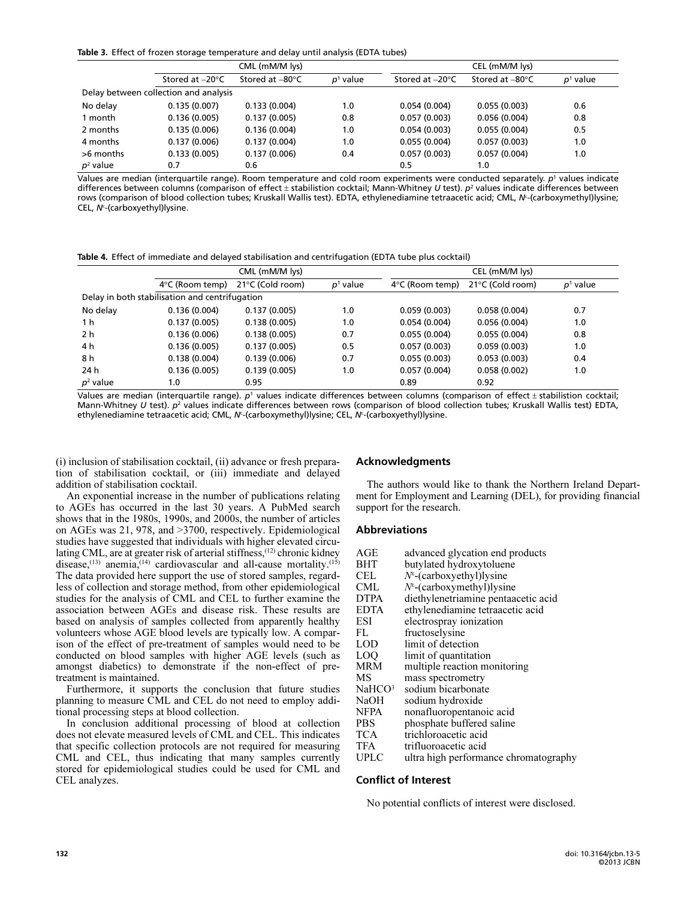Table 3. Effect of frozen storage temperature and delay until analysis (EDTA tubes)

|                                       | CML (mM/M lys)            |                           |            | CEL (mM/M lys)            |                           |            |  |
|---------------------------------------|---------------------------|---------------------------|------------|---------------------------|---------------------------|------------|--|
|                                       | Stored at $-20^{\circ}$ C | Stored at $-80^{\circ}$ C | $p1$ value | Stored at $-20^{\circ}$ C | Stored at $-80^{\circ}$ C | $p1$ value |  |
| Delay between collection and analysis |                           |                           |            |                           |                           |            |  |
| No delay                              | 0.135(0.007)              | 0.133(0.004)              | 1.0        | 0.054(0.004)              | 0.055(0.003)              | 0.6        |  |
| 1 month                               | 0.136(0.005)              | 0.137(0.005)              | 0.8        | 0.057(0.003)              | 0.056(0.004)              | 0.8        |  |
| 2 months                              | 0.135(0.006)              | 0.136(0.004)              | 1.0        | 0.054(0.003)              | 0.055(0.004)              | 0.5        |  |
| 4 months                              | 0.137(0.006)              | 0.137(0.004)              | 1.0        | 0.055(0.004)              | 0.057(0.003)              | 1.0        |  |
| >6 months                             | 0.133(0.005)              | 0.137(0.006)              | 0.4        | 0.057(0.003)              | 0.057(0.004)              | 1.0        |  |
| $p^2$ value                           | 0.7                       | 0.6                       |            | 0.5                       | 1.0                       |            |  |

Values are median (interquartile range). Room temperature and cold room experiments were conducted separately. p<sup>1</sup> values indicate differences between columns (comparison of effect  $\pm$  stabilistion cocktail; Mann-Whitney U test).  $p^2$  values indicate differences between rows (comparison of blood collection tubes; Kruskall Wallis test). EDTA, ethylenediamine tetraacetic acid; CML, N<sup>ε</sup> -(carboxymethyl)lysine; CEL, N<sup>ε</sup>-(carboxyethyl)lysine.

Table 4. Effect of immediate and delayed stabilisation and centrifugation (EDTA tube plus cocktail)

|             | CML (mM/M lys)                                 |                  |            | CEL (mM/M lys)            |                  |            |  |
|-------------|------------------------------------------------|------------------|------------|---------------------------|------------------|------------|--|
|             | $4^{\circ}$ C (Room temp)                      | 21°C (Cold room) | $p1$ value | $4^{\circ}$ C (Room temp) | 21°C (Cold room) | $p1$ value |  |
|             | Delay in both stabilisation and centrifugation |                  |            |                           |                  |            |  |
| No delay    | 0.136(0.004)                                   | 0.137(0.005)     | 1.0        | 0.059(0.003)              | 0.058(0.004)     | 0.7        |  |
| 1 h         | 0.137(0.005)                                   | 0.138(0.005)     | 1.0        | 0.054(0.004)              | 0.056(0.004)     | 1.0        |  |
| 2 h         | 0.136(0.006)                                   | 0.138(0.005)     | 0.7        | 0.055(0.004)              | 0.055(0.004)     | 0.8        |  |
| 4 h         | 0.136(0.005)                                   | 0.137(0.005)     | 0.5        | 0.057(0.003)              | 0.059(0.003)     | 1.0        |  |
| 8 h         | 0.138(0.004)                                   | 0.139(0.006)     | 0.7        | 0.055(0.003)              | 0.053(0.003)     | 0.4        |  |
| 24 h        | 0.136(0.005)                                   | 0.139(0.005)     | 1.0        | 0.057(0.004)              | 0.058(0.002)     | 1.0        |  |
| $p^2$ value | 1.0                                            | 0.95             |            | 0.89                      | 0.92             |            |  |

Values are median (interquartile range).  $p<sup>1</sup>$  values indicate differences between columns (comparison of effect  $\pm$  stabilistion cocktail; Mann-Whitney U test).  $p^2$  values indicate differences between rows (comparison of blood collection tubes; Kruskall Wallis test) EDTA, ethylenediamine tetraacetic acid; CML, N<sup>t-</sup> (carboxymethyl)lysine; CEL, N<sup>t</sup>- (carboxyethyl)lysine.

(i) inclusion of stabilisation cocktail, (ii) advance or fresh preparation of stabilisation cocktail, or (iii) immediate and delayed addition of stabilisation cocktail.

 on AGEs was 21, 978, and >3700, respectively. Epidemiological An exponential increase in the number of publications relating to AGEs has occurred in the last 30 years. A PubMed search shows that in the 1980s, 1990s, and 2000s, the number of articles studies have suggested that individuals with higher elevated circulating CML, are at greater risk of arterial stiffness,<sup>(12)</sup> chronic kidney disease, $(13)$  anemia, $(14)$  cardiovascular and all-cause mortality. $(15)$ The data provided here support the use of stored samples, regardless of collection and storage method, from other epidemiological studies for the analysis of CML and CEL to further examine the association between AGEs and disease risk. These results are based on analysis of samples collected from apparently healthy volunteers whose AGE blood levels are typically low. A comparison of the effect of pre-treatment of samples would need to be conducted on blood samples with higher AGE levels (such as amongst diabetics) to demonstrate if the non-effect of pretreatment is maintained.

Furthermore, it supports the conclusion that future studies planning to measure CML and CEL do not need to employ additional processing steps at blood collection.

 stored for epidemiological studies could be used for CML and In conclusion additional processing of blood at collection does not elevate measured levels of CML and CEL. This indicates that specific collection protocols are not required for measuring CML and CEL, thus indicating that many samples currently CEL analyzes.

# Acknowledgments

The authors would like to thank the Northern Ireland Department for Employment and Learning (DEL), for providing financial support for the research.

# Abbreviations

| AGE                | advanced glycation end products       |
|--------------------|---------------------------------------|
| BHT                | butylated hydroxytoluene              |
| CEL                | $N^{\epsilon}$ -(carboxyethyl)lysine  |
| CML                | $N^{\epsilon}$ -(carboxymethyl)lysine |
| <b>DTPA</b>        | diethylenetriamine pentaacetic acid   |
| <b>EDTA</b>        | ethylenediamine tetraacetic acid      |
| ESI                | electrospray ionization               |
| FL                 | fructoselysine                        |
| <b>LOD</b>         | limit of detection                    |
| <b>LOO</b>         | limit of quantitation                 |
| MRM                | multiple reaction monitoring          |
| MS                 | mass spectrometry                     |
| NaHCO <sup>3</sup> | sodium bicarbonate                    |
| <b>NaOH</b>        | sodium hydroxide                      |
| <b>NFPA</b>        | nonafluoropentanoic acid              |
| <b>PBS</b>         | phosphate buffered saline             |
| <b>TCA</b>         | trichloroacetic acid                  |
| TFA                | trifluoroacetic acid                  |
| <b>UPLC</b>        | ultra high performance chromatography |

#### Conflict of Interest

No potential conflicts of interest were disclosed.